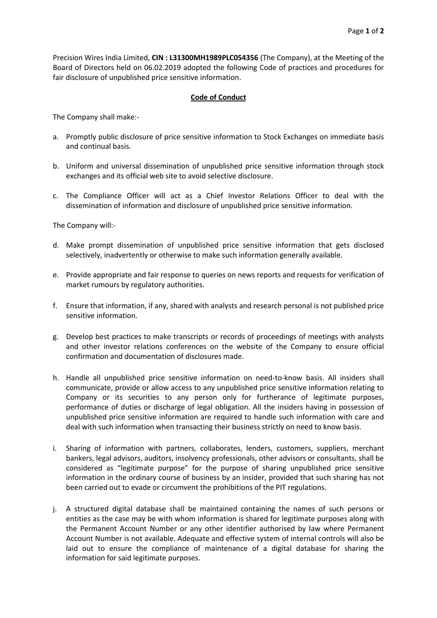Precision Wires India Limited, **CIN : L31300MH1989PLC054356** (The Company), at the Meeting of the Board of Directors held on 06.02.2019 adopted the following Code of practices and procedures for fair disclosure of unpublished price sensitive information.

## **Code of Conduct**

The Company shall make:-

- a. Promptly public disclosure of price sensitive information to Stock Exchanges on immediate basis and continual basis.
- b. Uniform and universal dissemination of unpublished price sensitive information through stock exchanges and its official web site to avoid selective disclosure.
- c. The Compliance Officer will act as a Chief Investor Relations Officer to deal with the dissemination of information and disclosure of unpublished price sensitive information.

The Company will:-

- d. Make prompt dissemination of unpublished price sensitive information that gets disclosed selectively, inadvertently or otherwise to make such information generally available.
- e. Provide appropriate and fair response to queries on news reports and requests for verification of market rumours by regulatory authorities.
- f. Ensure that information, if any, shared with analysts and research personal is not published price sensitive information.
- g. Develop best practices to make transcripts or records of proceedings of meetings with analysts and other investor relations conferences on the website of the Company to ensure official confirmation and documentation of disclosures made.
- h. Handle all unpublished price sensitive information on need-to-know basis. All insiders shall communicate, provide or allow access to any unpublished price sensitive information relating to Company or its securities to any person only for furtherance of legitimate purposes, performance of duties or discharge of legal obligation. All the insiders having in possession of unpublished price sensitive information are required to handle such information with care and deal with such information when transacting their business strictly on need to know basis.
- i. Sharing of information with partners, collaborates, lenders, customers, suppliers, merchant bankers, legal advisors, auditors, insolvency professionals, other advisors or consultants, shall be considered as "legitimate purpose" for the purpose of sharing unpublished price sensitive information in the ordinary course of business by an insider, provided that such sharing has not been carried out to evade or circumvent the prohibitions of the PIT regulations.
- j. A structured digital database shall be maintained containing the names of such persons or entities as the case may be with whom information is shared for legitimate purposes along with the Permanent Account Number or any other identifier authorised by law where Permanent Account Number is not available. Adequate and effective system of internal controls will also be laid out to ensure the compliance of maintenance of a digital database for sharing the information for said legitimate purposes.